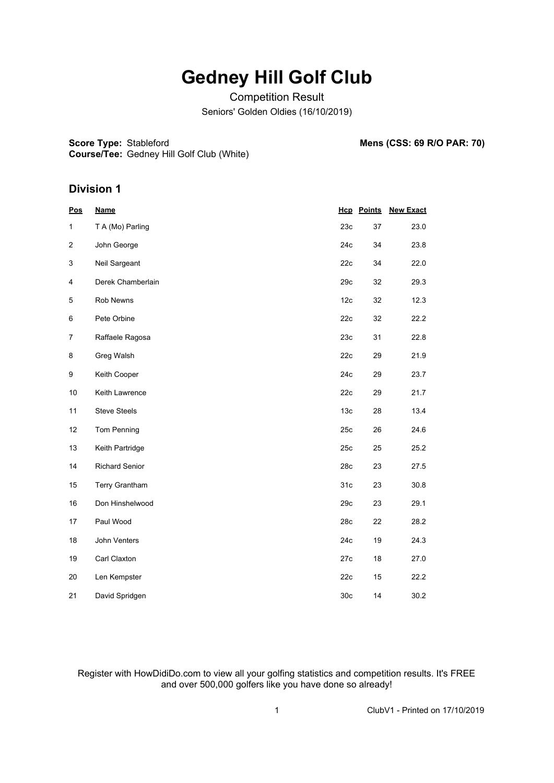## **Gedney Hill Golf Club**

Competition Result Seniors' Golden Oldies (16/10/2019)

**Score Type: Stableford** 

Stableford **Mens (CSS: 69 R/O PAR: 70)**

**Course/Tee:** Gedney Hill Golf Club (White)

## **Division 1**

| <b>Pos</b>       | <b>Name</b>           |                 | <b>Hcp</b> Points | <b>New Exact</b> |
|------------------|-----------------------|-----------------|-------------------|------------------|
| 1                | T A (Mo) Parling      | 23c             | 37                | 23.0             |
| 2                | John George           | 24c             | 34                | 23.8             |
| 3                | Neil Sargeant         | 22c             | 34                | 22.0             |
| 4                | Derek Chamberlain     | 29c             | 32                | 29.3             |
| 5                | Rob Newns             | 12c             | 32                | 12.3             |
| 6                | Pete Orbine           | 22c             | 32                | 22.2             |
| $\overline{7}$   | Raffaele Ragosa       | 23c             | 31                | 22.8             |
| 8                | Greg Walsh            | 22c             | 29                | 21.9             |
| $\boldsymbol{9}$ | Keith Cooper          | 24c             | 29                | 23.7             |
| 10               | Keith Lawrence        | 22c             | 29                | 21.7             |
| 11               | <b>Steve Steels</b>   | 13 <sub>c</sub> | 28                | 13.4             |
| 12               | Tom Penning           | 25c             | 26                | 24.6             |
| 13               | Keith Partridge       | 25c             | 25                | 25.2             |
| 14               | <b>Richard Senior</b> | 28c             | 23                | 27.5             |
| 15               | Terry Grantham        | 31c             | 23                | 30.8             |
| 16               | Don Hinshelwood       | 29c             | 23                | 29.1             |
| 17               | Paul Wood             | 28c             | 22                | 28.2             |
| 18               | John Venters          | 24c             | 19                | 24.3             |
| 19               | Carl Claxton          | 27c             | 18                | 27.0             |
| 20               | Len Kempster          | 22c             | 15                | 22.2             |
| 21               | David Spridgen        | 30 <sub>c</sub> | 14                | 30.2             |

Register with HowDidiDo.com to view all your golfing statistics and competition results. It's FREE and over 500,000 golfers like you have done so already!